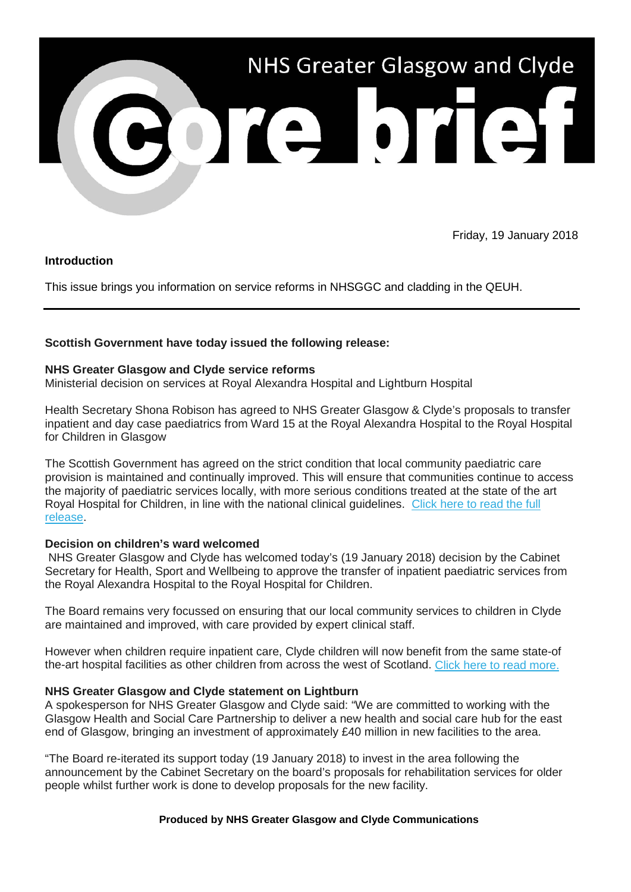

Friday, 19 January 2018

# **Introduction**

This issue brings you information on service reforms in NHSGGC and cladding in the QEUH.

# **Scottish Government have today issued the following release:**

## **NHS Greater Glasgow and Clyde service reforms**

Ministerial decision on services at Royal Alexandra Hospital and Lightburn Hospital

Health Secretary Shona Robison has agreed to NHS Greater Glasgow & Clyde's proposals to transfer inpatient and day case paediatrics from Ward 15 at the Royal Alexandra Hospital to the Royal Hospital for Children in Glasgow

The Scottish Government has agreed on the strict condition that local community paediatric care provision is maintained and continually improved. This will ensure that communities continue to access the majority of paediatric services locally, with more serious conditions treated at the state of the art Royal Hospital for Children, in line with the national clinical guidelines. [Click here to read the full](https://nhsggc.us12.list-manage.com/track/click?u=0f385b5aea37eaf0213bd19fb&id=0be1112c9a&e=5af5e1832c)  [release.](https://nhsggc.us12.list-manage.com/track/click?u=0f385b5aea37eaf0213bd19fb&id=0be1112c9a&e=5af5e1832c)

## **Decision on children's ward welcomed**

NHS Greater Glasgow and Clyde has welcomed today's (19 January 2018) decision by the Cabinet Secretary for Health, Sport and Wellbeing to approve the transfer of inpatient paediatric services from the Royal Alexandra Hospital to the Royal Hospital for Children.

The Board remains very focussed on ensuring that our local community services to children in Clyde are maintained and improved, with care provided by expert clinical staff.

However when children require inpatient care, Clyde children will now benefit from the same state-of the-art hospital facilities as other children from across the west of Scotland. [Click here to read more.](https://nhsggc.us12.list-manage.com/track/click?u=0f385b5aea37eaf0213bd19fb&id=f75a986a94&e=5af5e1832c)

# **NHS Greater Glasgow and Clyde statement on Lightburn**

A spokesperson for NHS Greater Glasgow and Clyde said: "We are committed to working with the Glasgow Health and Social Care Partnership to deliver a new health and social care hub for the east end of Glasgow, bringing an investment of approximately £40 million in new facilities to the area.

"The Board re-iterated its support today (19 January 2018) to invest in the area following the announcement by the Cabinet Secretary on the board's proposals for rehabilitation services for older people whilst further work is done to develop proposals for the new facility.

## **Produced by NHS Greater Glasgow and Clyde Communications**